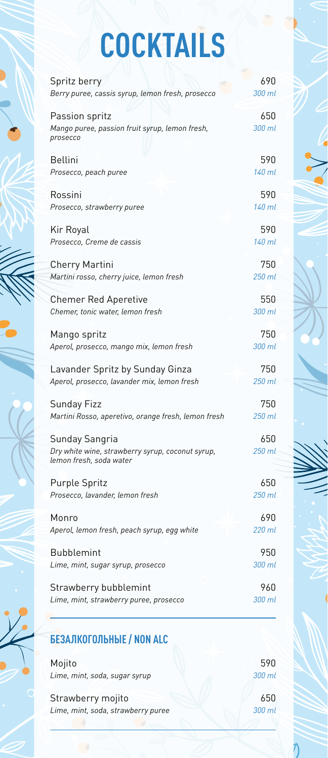## **COCKTAILS**

| Spritz berry                                                                | 690    |
|-----------------------------------------------------------------------------|--------|
| Berry puree, cassis syrup, lemon fresh, prosecco                            | 300 ml |
| Passion spritz                                                              | 650    |
| Mango puree, passion fruit syrup, lemon fresh,<br>prosecco                  | 300 ml |
| <b>Bellini</b>                                                              | 590    |
| Prosecco, peach puree                                                       | 140 ml |
| Rossini                                                                     | 590    |
| Prosecco, strawberry puree                                                  | 140 ml |
| Kir Royal                                                                   | 590    |
| Prosecco, Creme de cassis                                                   | 140 ml |
| <b>Cherry Martini</b>                                                       | 750    |
| Martini rosso, cherry juice, lemon fresh                                    | 250 ml |
| <b>Chemer Red Aperetive</b>                                                 | 550    |
| Chemer, tonic water, lemon fresh                                            | 300 ml |
| Mango spritz                                                                | 750    |
| Aperol, prosecco, mango mix, lemon fresh                                    | 300 ml |
| Lavander Spritz by Sunday Ginza                                             | 750    |
| Aperol, prosecco, lavander mix, lemon fresh                                 | 250 ml |
| Sunday Fizz                                                                 | 750    |
| Martini Rosso, aperetivo, orange fresh, lemon fresh                         | 250 ml |
| Sunday Sangria                                                              | 650    |
| Dry white wine, strawberry syrup, coconut syrup,<br>lemon fresh, soda water | 250 ml |
| <b>Purple Spritz</b>                                                        | 650    |
| Prosecco, lavander, lemon fresh                                             | 250 ml |
| Monro                                                                       | 690    |
| Aperol, lemon fresh, peach syrup, egg white                                 | 220 ml |
| <b>Bubblemint</b>                                                           | 950    |
| Lime, mint, sugar syrup, prosecco                                           | 300 ml |
| Strawberry bubblemint                                                       | 96N    |
| Lime, mint, strawberry puree, prosecco                                      | 300 ml |

## **БЕЗАЛКОГОЛЬНЫЕ / NON ALC**

Mojito *Lime, mint, soda, sugar syrup*

Strawberry mojito *Lime, mint, soda, strawberry puree*

590 *300 ml*

650 *300 ml*